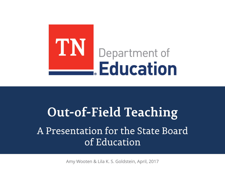

# **Out-of-Field Teaching** A Presentation for the State Board of Education

Amy Wooten & Lila K. S. Goldstein, April, 2017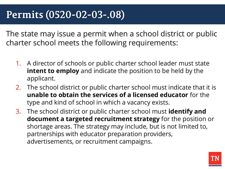## **Permits (0520-02-03-.08)**

The state may issue a permit when a school district or public charter school meets the following requirements:

- 1. A director of schools or public charter school leader must state **intent to employ** and indicate the position to be held by the applicant.
- 2. The school district or public charter school must indicate that it is **unable to obtain the services of a licensed educator** for the type and kind of school in which a vacancy exists.
- 3. The school district or public charter school must **identify and document a targeted recruitment strategy** for the position or shortage areas. The strategy may include, but is not limited to, partnerships with educator preparation providers, advertisements, or recruitment campaigns.

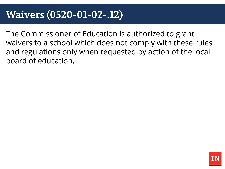## **Waivers (0520-01-02-.12)**

The Commissioner of Education is authorized to grant waivers to a school which does not comply with these rules and regulations only when requested by action of the local board of education.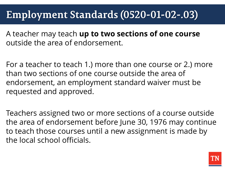# **Employment Standards (0520-01-02-.03)**

A teacher may teach **up to two sections of one course**  outside the area of endorsement.

For a teacher to teach 1.) more than one course or 2.) more than two sections of one course outside the area of endorsement, an employment standard waiver must be requested and approved.

Teachers assigned two or more sections of a course outside the area of endorsement before June 30, 1976 may continue to teach those courses until a new assignment is made by the local school officials.

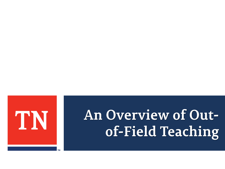

# An Overview of Outof-Field Teaching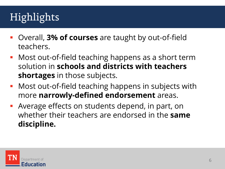# Highlights

- Overall, **3% of courses** are taught by out-of-field teachers.
- **Most out-of-field teaching happens as a short term** solution in **schools and districts with teachers shortages** in those subjects.
- **Most out-of-field teaching happens in subjects with** more **narrowly-defined endorsement** areas.
- Average effects on students depend, in part, on whether their teachers are endorsed in the **same discipline.**

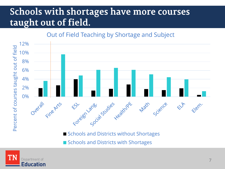## Schools with shortages have more courses taught out of field.

#### Out of Field Teaching by Shortage and Subject



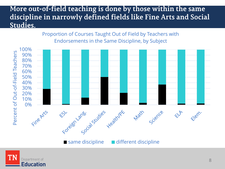### More out-of-field teaching is done by those within the same discipline in narrowly defined fields like Fine Arts and Social Studies.



Proportion of Courses Taught Out of Field by Teachers with Endorsements in the Same Discipline, by Subject

 $\blacksquare$  same discipline  $\blacksquare$  different discipline

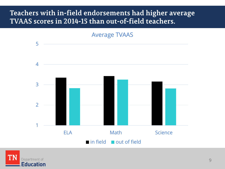## Teachers with in-field endorsements had higher average TVAAS scores in 2014-15 than out-of-field teachers.





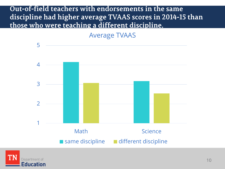### Out-of-field teachers with endorsements in the same discipline had higher average TVAAS scores in 2014-15 than those who were teaching a different discipline.

Average TVAAS



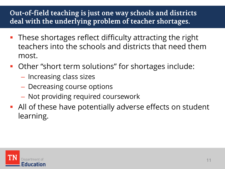## Out-of-field teaching is just one way schools and districts deal with the underlying problem of teacher shortages.

- **These shortages reflect difficulty attracting the right** teachers into the schools and districts that need them most.
- Other "short term solutions" for shortages include:
	- Increasing class sizes
	- Decreasing course options
	- Not providing required coursework
- All of these have potentially adverse effects on student learning.